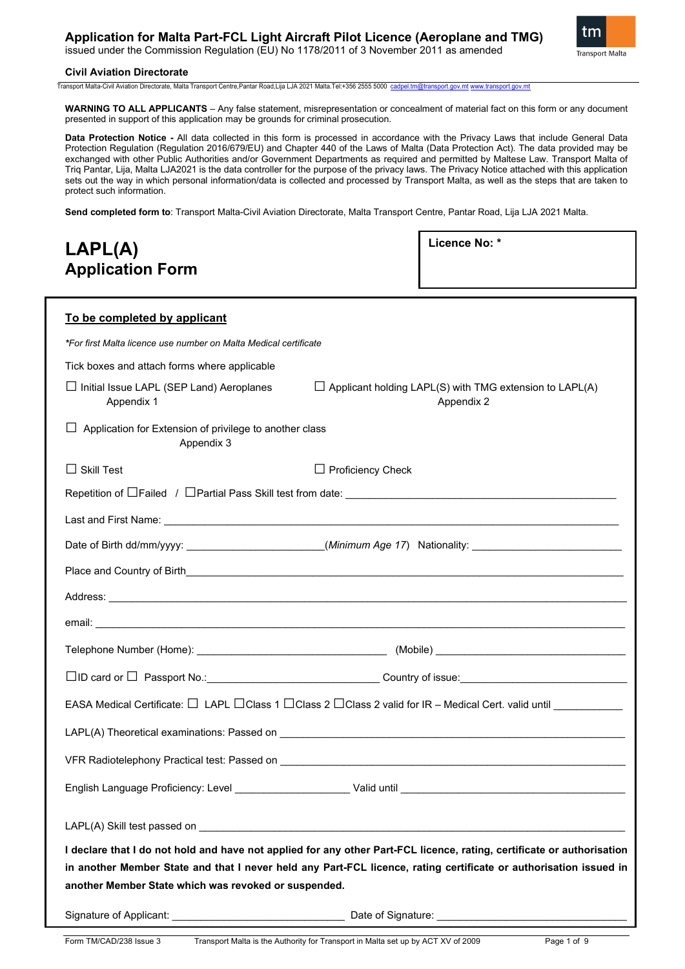## **Application for Malta Part-FCL Light Aircraft Pilot Licence (Aeroplane and TMG)**

issued under the Commission Regulation (EU) No 1178/2011 of 3 November 2011 as amended



#### **Civil Aviation Directorate**

Transport Malta-Civil Aviation Directorate, Malta Transport Centre,Pantar Road,Lija LJA 2021 Malta.Tel:+356 2555 5000 [cadpel.tm@transport.gov.mt](mailto:cadpel.tm@transport.gov.mt) [www.transport.gov.mt](http://www.transport.gov.mt/)

**WARNING TO ALL APPLICANTS** – Any false statement, misrepresentation or concealment of material fact on this form or any document presented in support of this application may be grounds for criminal prosecution.

**Data Protection Notice -** All data collected in this form is processed in accordance with the Privacy Laws that include General Data Protection Regulation (Regulation 2016/679/EU) and Chapter 440 of the Laws of Malta (Data Protection Act). The data provided may be exchanged with other Public Authorities and/or Government Departments as required and permitted by Maltese Law. Transport Malta of Triq Pantar, Lija, Malta LJA2021 is the data controller for the purpose of the privacy laws. The Privacy Notice attached with this application sets out the way in which personal information/data is collected and processed by Transport Malta, as well as the steps that are taken to protect such information.

**Send completed form to**: Transport Malta-Civil Aviation Directorate, Malta Transport Centre, Pantar Road, Lija LJA 2021 Malta.

| LAPL(A)                 | Licence No: * |
|-------------------------|---------------|
| <b>Application Form</b> |               |

| To be completed by applicant                                                                                           |                                                                                                                                                                                                                                      |  |
|------------------------------------------------------------------------------------------------------------------------|--------------------------------------------------------------------------------------------------------------------------------------------------------------------------------------------------------------------------------------|--|
| *For first Malta licence use number on Malta Medical certificate                                                       |                                                                                                                                                                                                                                      |  |
| Tick boxes and attach forms where applicable                                                                           |                                                                                                                                                                                                                                      |  |
| □ Initial Issue LAPL (SEP Land) Aeroplanes<br>Appendix 1                                                               | $\Box$ Applicant holding LAPL(S) with TMG extension to LAPL(A)<br>Appendix 2                                                                                                                                                         |  |
| $\Box$ Application for Extension of privilege to another class<br>Appendix 3                                           |                                                                                                                                                                                                                                      |  |
| $\Box$ Skill Test                                                                                                      | $\Box$ Proficiency Check                                                                                                                                                                                                             |  |
|                                                                                                                        |                                                                                                                                                                                                                                      |  |
|                                                                                                                        |                                                                                                                                                                                                                                      |  |
|                                                                                                                        | Date of Birth dd/mm/yyyy: ________________________(Minimum Age 17) Nationality: ______________________________                                                                                                                       |  |
|                                                                                                                        | Place and Country of Birth <b>Countries and Countries and Countries and Countries and Country of Birth</b>                                                                                                                           |  |
|                                                                                                                        | Address: <u>Address: Address: Address: Address: Address: Address: Address: Address: Address: Address: Address: Address: Address: Address: Address: Address: Address: Address: Address: Address: Address: Address: Address: Addre</u> |  |
|                                                                                                                        |                                                                                                                                                                                                                                      |  |
|                                                                                                                        |                                                                                                                                                                                                                                      |  |
|                                                                                                                        |                                                                                                                                                                                                                                      |  |
| EASA Medical Certificate: □ LAPL □ Class 1 □ Class 2 □ Class 2 valid for IR - Medical Cert. valid until ____________   |                                                                                                                                                                                                                                      |  |
|                                                                                                                        |                                                                                                                                                                                                                                      |  |
|                                                                                                                        |                                                                                                                                                                                                                                      |  |
|                                                                                                                        |                                                                                                                                                                                                                                      |  |
|                                                                                                                        |                                                                                                                                                                                                                                      |  |
| I declare that I do not hold and have not applied for any other Part-FCL licence, rating, certificate or authorisation |                                                                                                                                                                                                                                      |  |
| in another Member State and that I never held any Part-FCL licence, rating certificate or authorisation issued in      |                                                                                                                                                                                                                                      |  |
| another Member State which was revoked or suspended.                                                                   |                                                                                                                                                                                                                                      |  |
|                                                                                                                        |                                                                                                                                                                                                                                      |  |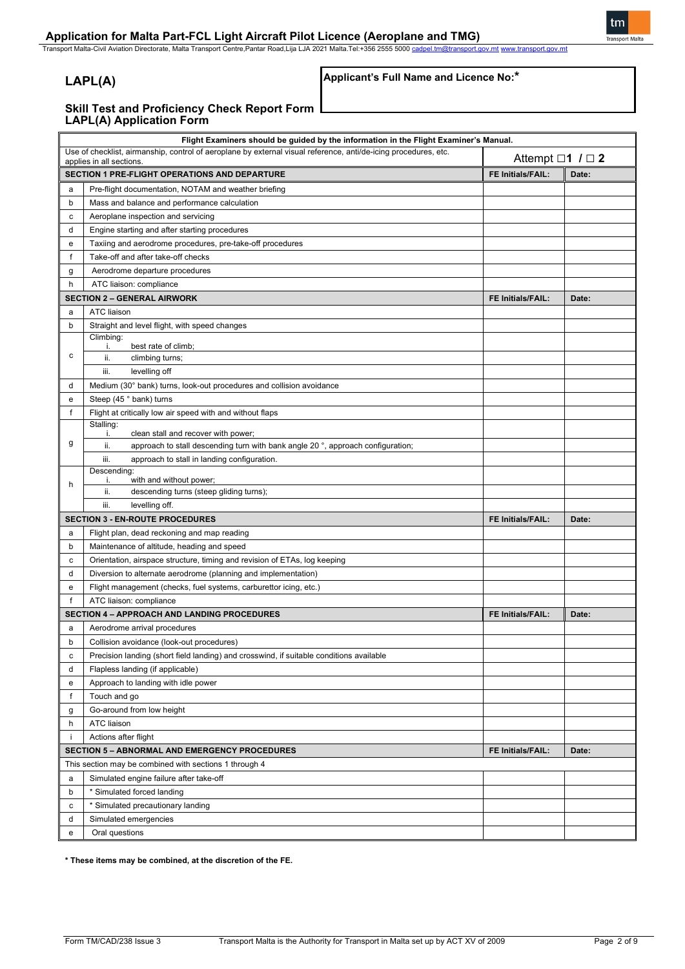Transport Malta-Civil Aviation Directorate, Malta Transport Centre,Pantar Road,Lija LJA 2021 Malta.Tel:+356 2555 5000 <u>[cadpel.tm@transport.gov.mt](mailto:cadpel.tm@transport.gov.mt) [www.transport.gov.mt](http://www.transport.gov.mt/)</u>

## **LAPL(A)**

## **Applicant's Full Name and Licence No:\***

tm

#### **Skill Test and Proficiency Check Report Form LAPL(A) Application Form**

|              | Flight Examiners should be guided by the information in the Flight Examiner's Manual.                                                                                    |                          |       |
|--------------|--------------------------------------------------------------------------------------------------------------------------------------------------------------------------|--------------------------|-------|
|              | Use of checklist, airmanship, control of aeroplane by external visual reference, anti/de-icing procedures, etc.<br>Attempt $\Box$ 1 $\Box$ 2<br>applies in all sections. |                          |       |
|              | SECTION 1 PRE-FLIGHT OPERATIONS AND DEPARTURE                                                                                                                            | <b>FE Initials/FAIL:</b> | Date: |
| a            | Pre-flight documentation, NOTAM and weather briefing                                                                                                                     |                          |       |
| b            | Mass and balance and performance calculation                                                                                                                             |                          |       |
| c            | Aeroplane inspection and servicing                                                                                                                                       |                          |       |
| d            | Engine starting and after starting procedures                                                                                                                            |                          |       |
| e            | Taxiing and aerodrome procedures, pre-take-off procedures                                                                                                                |                          |       |
| f            | Take-off and after take-off checks                                                                                                                                       |                          |       |
| g            | Aerodrome departure procedures                                                                                                                                           |                          |       |
| h            | ATC liaison: compliance                                                                                                                                                  |                          |       |
|              | <b>SECTION 2 - GENERAL AIRWORK</b>                                                                                                                                       | <b>FE Initials/FAIL:</b> | Date: |
| a            | <b>ATC liaison</b>                                                                                                                                                       |                          |       |
| b            | Straight and level flight, with speed changes                                                                                                                            |                          |       |
|              | Climbing:                                                                                                                                                                |                          |       |
| c            | best rate of climb;<br>j.                                                                                                                                                |                          |       |
|              | ii.<br>climbing turns;                                                                                                                                                   |                          |       |
|              | iii.<br>levelling off                                                                                                                                                    |                          |       |
| d            | Medium (30° bank) turns, look-out procedures and collision avoidance                                                                                                     |                          |       |
| e            | Steep (45 ° bank) turns                                                                                                                                                  |                          |       |
| f            | Flight at critically low air speed with and without flaps                                                                                                                |                          |       |
|              | Stalling:<br>clean stall and recover with power;<br>j.                                                                                                                   |                          |       |
| g            | ii.<br>approach to stall descending turn with bank angle 20°, approach configuration;                                                                                    |                          |       |
|              | iii.<br>approach to stall in landing configuration.                                                                                                                      |                          |       |
|              | Descending:                                                                                                                                                              |                          |       |
| h            | with and without power;<br>i.                                                                                                                                            |                          |       |
|              | ii.<br>descending turns (steep gliding turns);<br>iii.<br>levelling off.                                                                                                 |                          |       |
|              | <b>SECTION 3 - EN-ROUTE PROCEDURES</b>                                                                                                                                   | <b>FE Initials/FAIL:</b> | Date: |
| a            | Flight plan, dead reckoning and map reading                                                                                                                              |                          |       |
| b            | Maintenance of altitude, heading and speed                                                                                                                               |                          |       |
| c            | Orientation, airspace structure, timing and revision of ETAs, log keeping                                                                                                |                          |       |
| d            | Diversion to alternate aerodrome (planning and implementation)                                                                                                           |                          |       |
| e            | Flight management (checks, fuel systems, carburettor icing, etc.)                                                                                                        |                          |       |
| $\mathsf{f}$ | ATC liaison: compliance                                                                                                                                                  |                          |       |
|              |                                                                                                                                                                          |                          |       |
|              | <b>SECTION 4 - APPROACH AND LANDING PROCEDURES</b>                                                                                                                       | <b>FE Initials/FAIL:</b> | Date: |
| a            | Aerodrome arrival procedures                                                                                                                                             |                          |       |
| b            | Collision avoidance (look-out procedures)                                                                                                                                |                          |       |
| c            | Precision landing (short field landing) and crosswind, if suitable conditions available                                                                                  |                          |       |
| d            | Flapless landing (if applicable)                                                                                                                                         |                          |       |
| е            | Approach to landing with idle power                                                                                                                                      |                          |       |
| f            | Touch and go                                                                                                                                                             |                          |       |
| g            | Go-around from low height                                                                                                                                                |                          |       |
| h            | <b>ATC liaison</b>                                                                                                                                                       |                          |       |
| -i           | Actions after flight                                                                                                                                                     |                          |       |
|              | <b>SECTION 5 - ABNORMAL AND EMERGENCY PROCEDURES</b>                                                                                                                     | FE Initials/FAIL:        | Date: |
|              | This section may be combined with sections 1 through 4                                                                                                                   |                          |       |
| a            | Simulated engine failure after take-off                                                                                                                                  |                          |       |
| b            | * Simulated forced landing                                                                                                                                               |                          |       |
| с            | * Simulated precautionary landing                                                                                                                                        |                          |       |
| d            | Simulated emergencies                                                                                                                                                    |                          |       |
| e            | Oral questions                                                                                                                                                           |                          |       |

**\* These items may be combined, at the discretion of the FE.**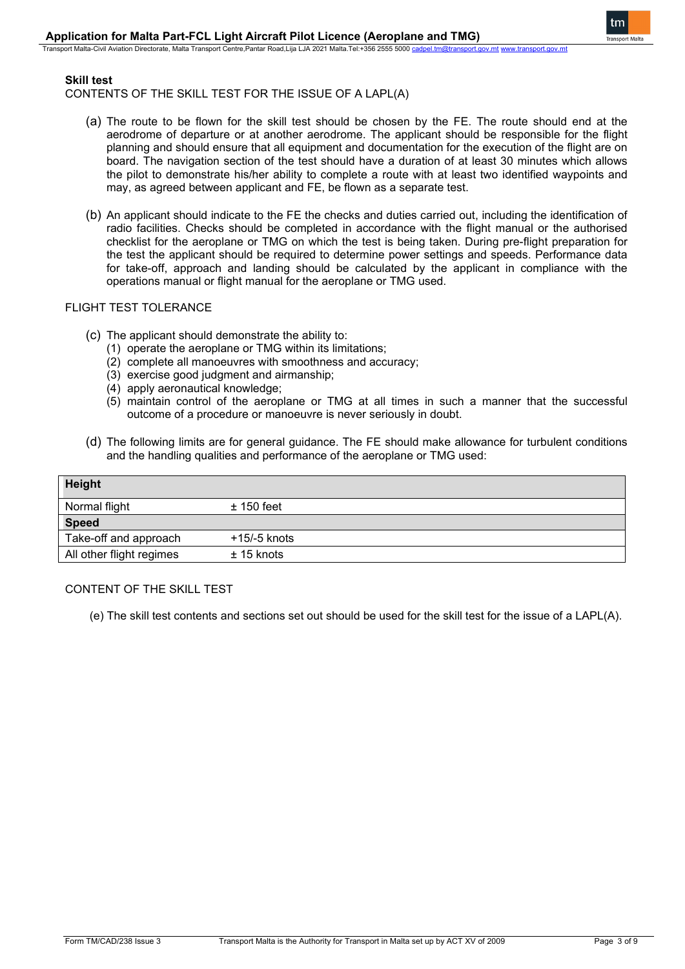-<br>Sport Malta-Civil Aviation Directorate, Malta Transport Centre,Pantar Road,Lija LJA 2021 Malta.Tel:+356 2555 5000

## **Skill test**

CONTENTS OF THE SKILL TEST FOR THE ISSUE OF A LAPL(A)

- (a) The route to be flown for the skill test should be chosen by the FE. The route should end at the aerodrome of departure or at another aerodrome. The applicant should be responsible for the flight planning and should ensure that all equipment and documentation for the execution of the flight are on board. The navigation section of the test should have a duration of at least 30 minutes which allows the pilot to demonstrate his/her ability to complete a route with at least two identified waypoints and may, as agreed between applicant and FE, be flown as a separate test.
- (b) An applicant should indicate to the FE the checks and duties carried out, including the identification of radio facilities. Checks should be completed in accordance with the flight manual or the authorised checklist for the aeroplane or TMG on which the test is being taken. During pre-flight preparation for the test the applicant should be required to determine power settings and speeds. Performance data for take-off, approach and landing should be calculated by the applicant in compliance with the operations manual or flight manual for the aeroplane or TMG used.

### FLIGHT TEST TOLERANCE

- (c) The applicant should demonstrate the ability to:
	- (1) operate the aeroplane or TMG within its limitations;
	- (2) complete all manoeuvres with smoothness and accuracy;
	- (3) exercise good judgment and airmanship;
	- (4) apply aeronautical knowledge;
	- (5) maintain control of the aeroplane or TMG at all times in such a manner that the successful outcome of a procedure or manoeuvre is never seriously in doubt.
- (d) The following limits are for general guidance. The FE should make allowance for turbulent conditions and the handling qualities and performance of the aeroplane or TMG used:

| <b>Height</b>            |              |
|--------------------------|--------------|
| Normal flight            | $±$ 150 feet |
| <b>Speed</b>             |              |
| Take-off and approach    | +15/-5 knots |
| All other flight regimes | $± 15$ knots |

## CONTENT OF THE SKILL TEST

(e) The skill test contents and sections set out should be used for the skill test for the issue of a LAPL(A).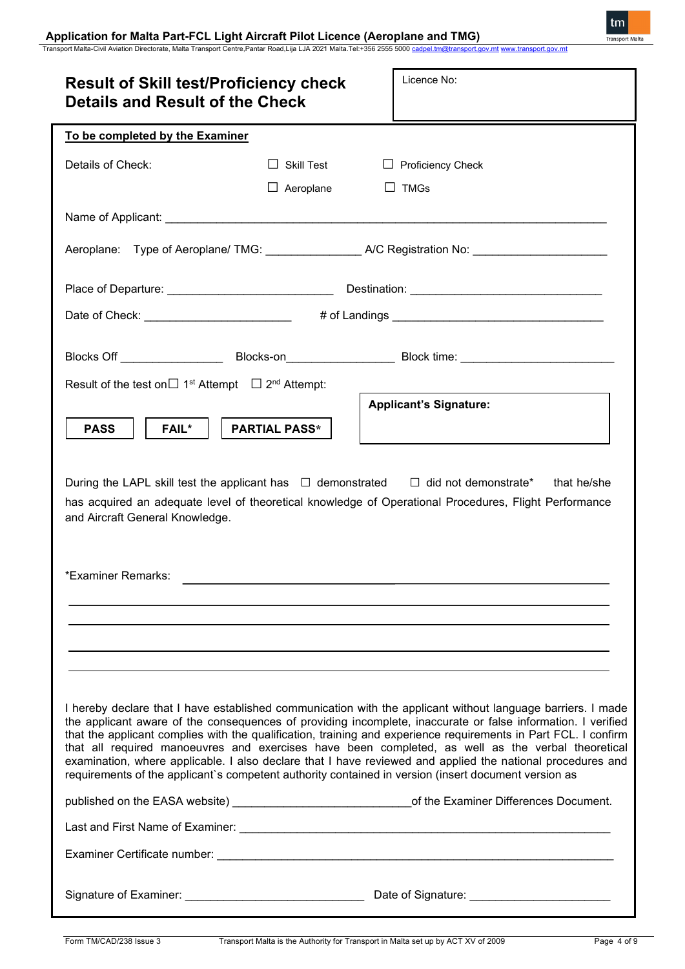### **Application for Malta Part-FCL Light Aircraft Pilot Licence (Aeroplane and TMG)**

Transport Malta-Civil Aviation Directorate, Malta Transport Centre,Pantar Road,Lija LJA 2021 Malta.Tel:+356 2555 5000 <u>[cadpel.tm@transport.gov.mt](mailto:cadpel.tm@transport.gov.mt) [www.transport.gov.mt](http://www.transport.gov.mt/)</u>

| <b>Result of Skill test/Proficiency check</b><br><b>Details and Result of the Check</b> |                      | Licence No:                                                                                                                                                                                                                                                                                                                                                                                                                                                                                                                                                                                                                                                               |
|-----------------------------------------------------------------------------------------|----------------------|---------------------------------------------------------------------------------------------------------------------------------------------------------------------------------------------------------------------------------------------------------------------------------------------------------------------------------------------------------------------------------------------------------------------------------------------------------------------------------------------------------------------------------------------------------------------------------------------------------------------------------------------------------------------------|
| To be completed by the Examiner                                                         |                      |                                                                                                                                                                                                                                                                                                                                                                                                                                                                                                                                                                                                                                                                           |
| Details of Check:                                                                       | $\Box$ Skill Test    | $\Box$ Proficiency Check                                                                                                                                                                                                                                                                                                                                                                                                                                                                                                                                                                                                                                                  |
|                                                                                         | $\Box$ Aeroplane     | $\Box$ TMGs                                                                                                                                                                                                                                                                                                                                                                                                                                                                                                                                                                                                                                                               |
|                                                                                         |                      |                                                                                                                                                                                                                                                                                                                                                                                                                                                                                                                                                                                                                                                                           |
|                                                                                         |                      | Aeroplane: Type of Aeroplane/ TMG: _________________ A/C Registration No: ________________________                                                                                                                                                                                                                                                                                                                                                                                                                                                                                                                                                                        |
|                                                                                         |                      |                                                                                                                                                                                                                                                                                                                                                                                                                                                                                                                                                                                                                                                                           |
|                                                                                         |                      | Date of Check: ___________________________ # of Landings ________________________                                                                                                                                                                                                                                                                                                                                                                                                                                                                                                                                                                                         |
|                                                                                         |                      |                                                                                                                                                                                                                                                                                                                                                                                                                                                                                                                                                                                                                                                                           |
|                                                                                         |                      | Blocks Off __________________________Blocks-on_________________________Block time: ___________________________                                                                                                                                                                                                                                                                                                                                                                                                                                                                                                                                                            |
| Result of the test on $\Box$ 1 <sup>st</sup> Attempt $\Box$ 2 <sup>nd</sup> Attempt:    |                      | <b>Applicant's Signature:</b>                                                                                                                                                                                                                                                                                                                                                                                                                                                                                                                                                                                                                                             |
| <b>FAIL*</b><br><b>PASS</b>                                                             | <b>PARTIAL PASS*</b> |                                                                                                                                                                                                                                                                                                                                                                                                                                                                                                                                                                                                                                                                           |
|                                                                                         |                      |                                                                                                                                                                                                                                                                                                                                                                                                                                                                                                                                                                                                                                                                           |
| and Aircraft General Knowledge.<br>*Examiner Remarks:                                   |                      | During the LAPL skill test the applicant has $\Box$ demonstrated $\Box$ did not demonstrate*<br>that he/she<br>has acquired an adequate level of theoretical knowledge of Operational Procedures, Flight Performance                                                                                                                                                                                                                                                                                                                                                                                                                                                      |
|                                                                                         |                      |                                                                                                                                                                                                                                                                                                                                                                                                                                                                                                                                                                                                                                                                           |
|                                                                                         |                      |                                                                                                                                                                                                                                                                                                                                                                                                                                                                                                                                                                                                                                                                           |
|                                                                                         |                      |                                                                                                                                                                                                                                                                                                                                                                                                                                                                                                                                                                                                                                                                           |
|                                                                                         |                      | I hereby declare that I have established communication with the applicant without language barriers. I made<br>the applicant aware of the consequences of providing incomplete, inaccurate or false information. I verified<br>that the applicant complies with the qualification, training and experience requirements in Part FCL. I confirm<br>that all required manoeuvres and exercises have been completed, as well as the verbal theoretical<br>examination, where applicable. I also declare that I have reviewed and applied the national procedures and<br>requirements of the applicant's competent authority contained in version (insert document version as |
|                                                                                         |                      | published on the EASA website) ________________________________of the Examiner Differences Document.                                                                                                                                                                                                                                                                                                                                                                                                                                                                                                                                                                      |
|                                                                                         |                      |                                                                                                                                                                                                                                                                                                                                                                                                                                                                                                                                                                                                                                                                           |
|                                                                                         |                      |                                                                                                                                                                                                                                                                                                                                                                                                                                                                                                                                                                                                                                                                           |
|                                                                                         |                      |                                                                                                                                                                                                                                                                                                                                                                                                                                                                                                                                                                                                                                                                           |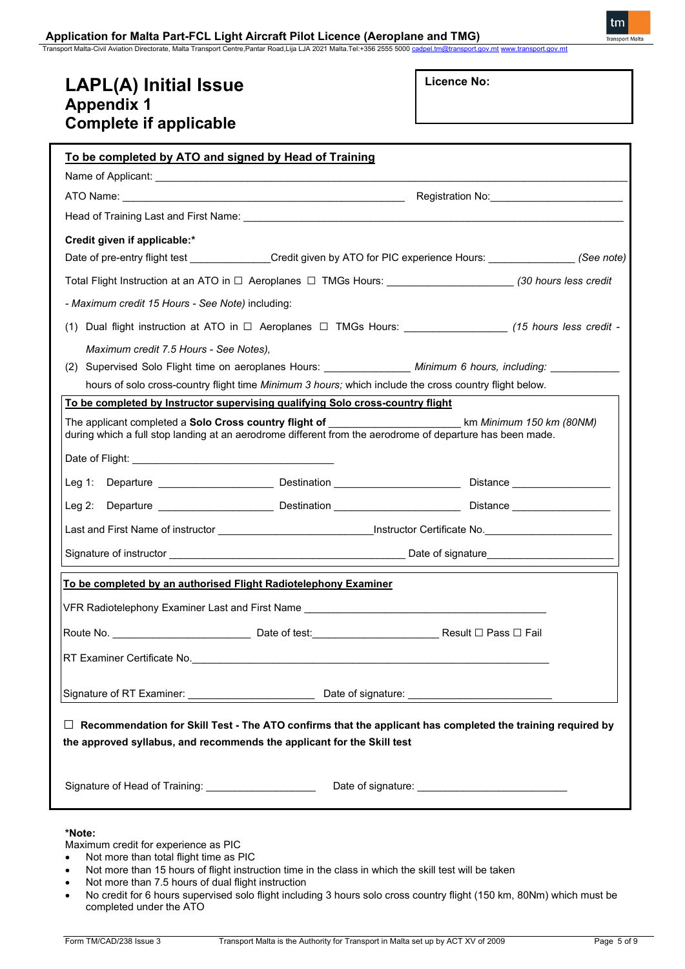Transport Malta-Civil Aviation Directorate, Malta Transport Centre,Pantar Road,Lija LJA 2021 Malta.Tel:+356 2555 5000

# **LAPL(A) Initial Issue Appendix 1 Complete if applicable**

| Licence No: |  |
|-------------|--|
|-------------|--|

| To be completed by ATO and signed by Head of Training                                                                                                                                                                         |
|-------------------------------------------------------------------------------------------------------------------------------------------------------------------------------------------------------------------------------|
|                                                                                                                                                                                                                               |
| Registration No: __________________________                                                                                                                                                                                   |
|                                                                                                                                                                                                                               |
| Credit given if applicable:*                                                                                                                                                                                                  |
| Date of pre-entry flight test ______________Credit given by ATO for PIC experience Hours: _______________(See note)                                                                                                           |
| Total Flight Instruction at an ATO in $\Box$ Aeroplanes $\Box$ TMGs Hours: __________________________(30 hours less credit                                                                                                    |
| - Maximum credit 15 Hours - See Note) including:                                                                                                                                                                              |
| (1) Dual flight instruction at ATO in □ Aeroplanes □ TMGs Hours: ________________ (15 hours less credit -                                                                                                                     |
| Maximum credit 7.5 Hours - See Notes),                                                                                                                                                                                        |
| (2) Supervised Solo Flight time on aeroplanes Hours: _________________ Minimum 6 hours, including: __________                                                                                                                 |
| hours of solo cross-country flight time Minimum 3 hours; which include the cross country flight below.                                                                                                                        |
| To be completed by Instructor supervising qualifying Solo cross-country flight                                                                                                                                                |
| The applicant completed a <b>Solo Cross country flight of _________________________</b> km Minimum 150 km (80NM)<br>during which a full stop landing at an aerodrome different from the aerodrome of departure has been made. |
|                                                                                                                                                                                                                               |
|                                                                                                                                                                                                                               |
|                                                                                                                                                                                                                               |
|                                                                                                                                                                                                                               |
|                                                                                                                                                                                                                               |
| To be completed by an authorised Flight Radiotelephony Examiner                                                                                                                                                               |
| VFR Radiotelephony Examiner Last and First Name ________________________________                                                                                                                                              |
| Route No. _________________________________Date of test:________________________Result ⊡ Pass ⊡ Fail                                                                                                                          |
|                                                                                                                                                                                                                               |
|                                                                                                                                                                                                                               |
|                                                                                                                                                                                                                               |
| Recommendation for Skill Test - The ATO confirms that the applicant has completed the training required by<br>$\Box$<br>the approved syllabus, and recommends the applicant for the Skill test                                |
| Signature of Head of Training: _______________________                                                                                                                                                                        |
|                                                                                                                                                                                                                               |

### **\*Note:**

Maximum credit for experience as PIC

- Not more than total flight time as PIC
- Not more than 15 hours of flight instruction time in the class in which the skill test will be taken
- Not more than 7.5 hours of dual flight instruction
- No credit for 6 hours supervised solo flight including 3 hours solo cross country flight (150 km, 80Nm) which must be completed under the ATO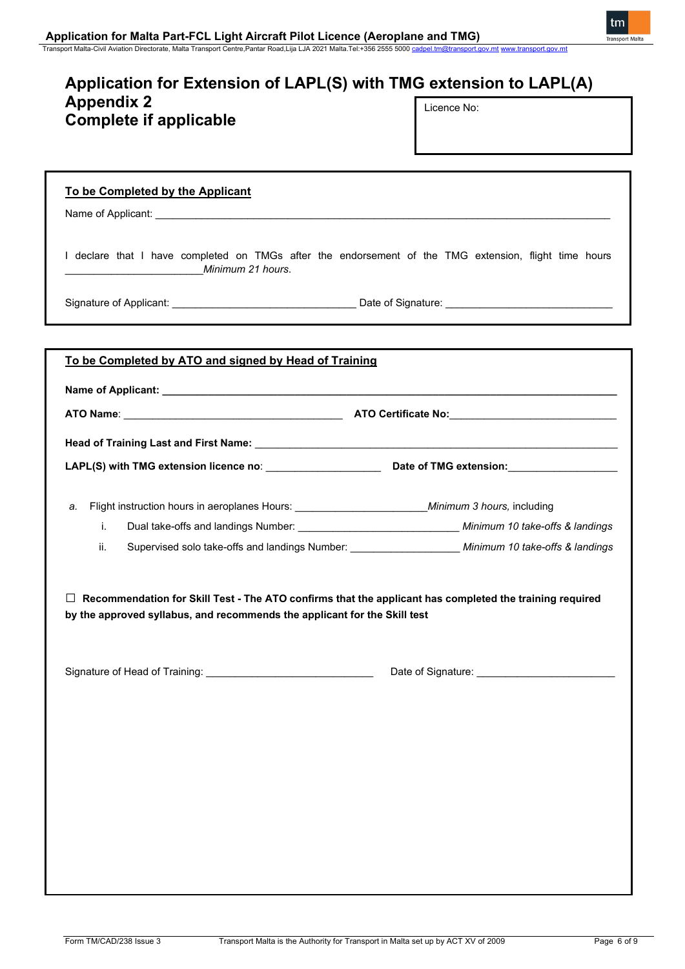tm

## **Application for Extension of LAPL(S) with TMG extension to LAPL(A) Appendix 2 Complete if applicable** Licence No:

## **To be Completed by the Applicant**

Name of Applicant:

I declare that I have completed on TMGs after the endorsement of the TMG extension, flight time hours \_\_\_\_\_\_\_\_\_\_\_\_\_\_\_\_\_\_\_\_\_\_\_\_*Minimum 21 hours*.

Signature of Applicant: \_\_\_\_\_\_\_\_\_\_\_\_\_\_\_\_\_\_\_\_\_\_\_\_\_\_\_\_\_\_\_\_ Date of Signature: \_\_\_\_\_\_\_\_\_\_\_\_\_\_\_\_\_\_\_\_\_\_\_\_\_\_\_\_\_

| To be Completed by ATO and signed by Head of Training |                                                                                                        |  |
|-------------------------------------------------------|--------------------------------------------------------------------------------------------------------|--|
|                                                       |                                                                                                        |  |
|                                                       |                                                                                                        |  |
|                                                       |                                                                                                        |  |
|                                                       |                                                                                                        |  |
| a.                                                    |                                                                                                        |  |
| i.                                                    | Dual take-offs and landings Number: __________________________________ Minimum 10 take-offs & landings |  |
| ii.                                                   | Supervised solo take-offs and landings Number: ______________________ Minimum 10 take-offs & landings  |  |
|                                                       |                                                                                                        |  |
|                                                       |                                                                                                        |  |
|                                                       |                                                                                                        |  |
|                                                       |                                                                                                        |  |
|                                                       |                                                                                                        |  |
|                                                       |                                                                                                        |  |
|                                                       |                                                                                                        |  |
|                                                       |                                                                                                        |  |
|                                                       |                                                                                                        |  |
|                                                       |                                                                                                        |  |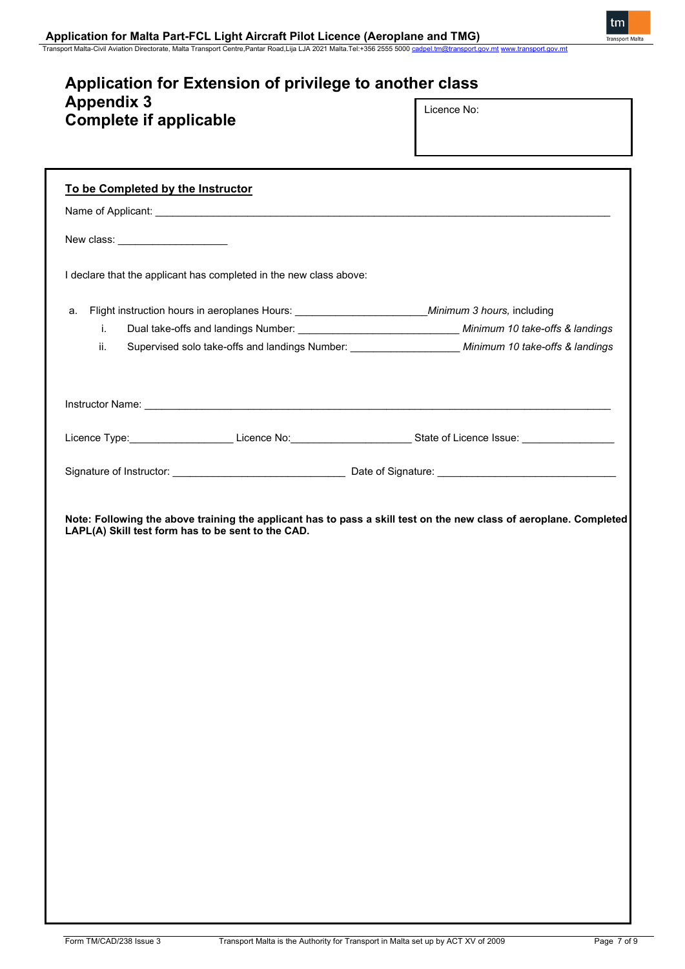## **Application for Extension of privilege to another class Appendix 3 Complete if applicable** Licence No:

Transport Malta-Civil Aviation Directorate, Malta Transport Centre,Pantar Road,Lija LJA 2021 Malta.Tel:+356 2555 5000 <u>[cadpel.tm@transport.gov.mt](mailto:cadpel.tm@transport.gov.mt) [www.transport.gov.mt](http://www.transport.gov.mt/)</u>

| To be Completed by the Instructor   |                                                                                                           |                                                                                                                    |
|-------------------------------------|-----------------------------------------------------------------------------------------------------------|--------------------------------------------------------------------------------------------------------------------|
|                                     |                                                                                                           |                                                                                                                    |
| New class: ________________________ |                                                                                                           |                                                                                                                    |
|                                     | I declare that the applicant has completed in the new class above:                                        |                                                                                                                    |
| a.                                  | Flight instruction hours in aeroplanes Hours: _________________________________Minimum 3 hours, including |                                                                                                                    |
| j.                                  |                                                                                                           | Dual take-offs and landings Number: __________________________________ Minimum 10 take-offs & landings             |
| ii.                                 |                                                                                                           | Supervised solo take-offs and landings Number: _____________________ Minimum 10 take-offs & landings               |
|                                     |                                                                                                           |                                                                                                                    |
|                                     |                                                                                                           | Licence Type:______________________Licence No:______________________State of Licence Issue: _________________      |
|                                     |                                                                                                           |                                                                                                                    |
|                                     | LAPL(A) Skill test form has to be sent to the CAD.                                                        | Note: Following the above training the applicant has to pass a skill test on the new class of aeroplane. Completed |
|                                     |                                                                                                           |                                                                                                                    |
|                                     |                                                                                                           |                                                                                                                    |
|                                     |                                                                                                           |                                                                                                                    |
|                                     |                                                                                                           |                                                                                                                    |
|                                     |                                                                                                           |                                                                                                                    |
|                                     |                                                                                                           |                                                                                                                    |
|                                     |                                                                                                           |                                                                                                                    |
|                                     |                                                                                                           |                                                                                                                    |
|                                     |                                                                                                           |                                                                                                                    |
|                                     |                                                                                                           |                                                                                                                    |
|                                     |                                                                                                           |                                                                                                                    |
|                                     |                                                                                                           |                                                                                                                    |
|                                     |                                                                                                           |                                                                                                                    |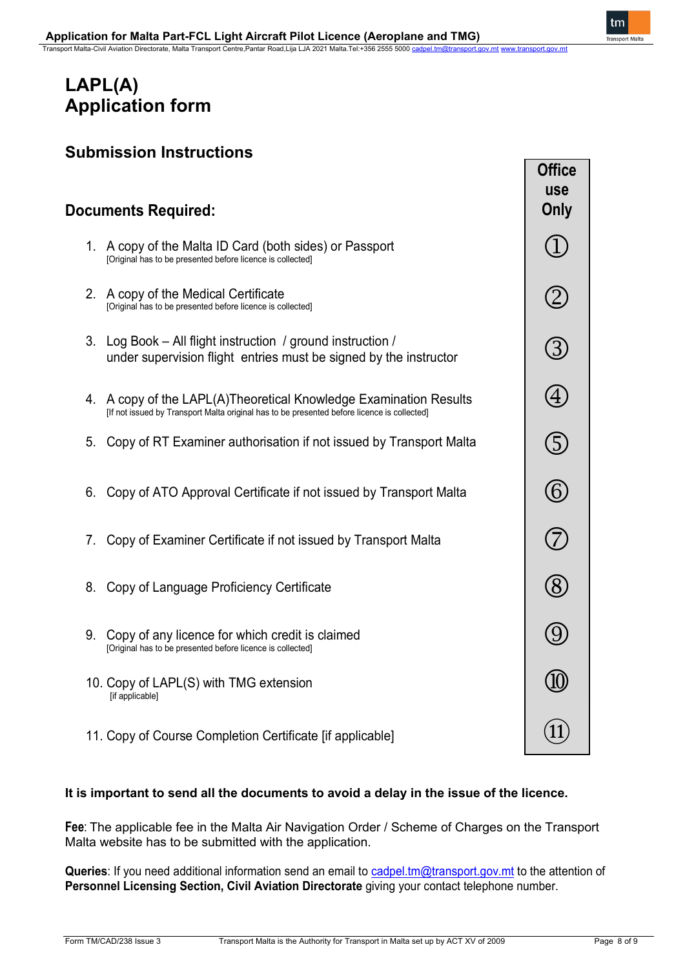# **LAPL(A) Application form**

# **Documents Required:**

- 1. A copy of the Malta ID Card (both sides) or Passport [Original has to be presented before licence is collected]
- 2. A copy of the Medical Certificate [Original has to be presented before licence is collected]
- 3. Log Book All flight instruction / ground instruction / under supervision flight entries must be signed by the instructor
- 4. A copy of the LAPL(A)Theoretical Knowledge Examination Results [If not issued by Transport Malta original has to be presented before licence is collected]
- 5. Copy of RT Examiner authorisation if not issued by Transport Malta
- 6. Copy of ATO Approval Certificate if not issued by Transport Malta
- 7. Copy of Examiner Certificate if not issued by Transport Malta
- 8. Copy of Language Proficiency Certificate
- 9. Copy of any licence for which credit is claimed [Original has to be presented before licence is collected]
- 10. Copy of LAPL(S) with TMG extension [if applicable]
- 11. Copy of Course Completion Certificate [if applicable]

## **It is important to send all the documents to avoid a delay in the issue of the licence.**

**Fee**: The applicable fee in the Malta Air Navigation Order / Scheme of Charges on the Transport Malta website has to be submitted with the application.

**Queries**: If you need additional information send an email to [cadpel.tm@transport.gov.mt](mailto:cadpel.tm@transport.gov.mt) to the attention of **Personnel Licensing Section, Civil Aviation Directorate** giving your contact telephone number.

**Office use Only**

 $\blacksquare$ 

 $\circled{2}$ 

3

 $\bigcirc$ 

 $\circledS$ 

 $\circledS$ 

 $(\widehat{7})$ 

 $\circledR$ 

(9)

(10

 $11$